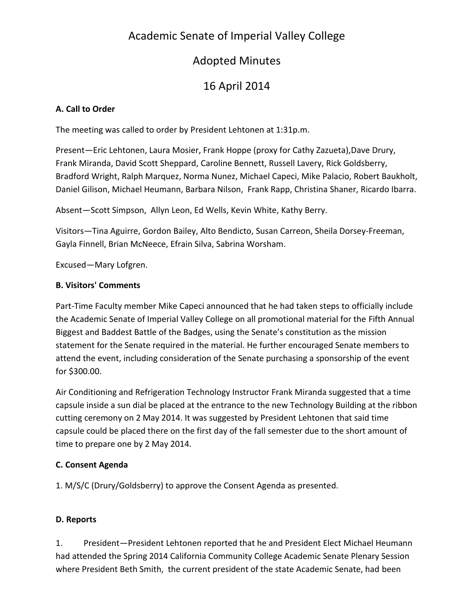# Academic Senate of Imperial Valley College

# Adopted Minutes

# 16 April 2014

### **A. Call to Order**

The meeting was called to order by President Lehtonen at 1:31p.m.

Present—Eric Lehtonen, Laura Mosier, Frank Hoppe (proxy for Cathy Zazueta),Dave Drury, Frank Miranda, David Scott Sheppard, Caroline Bennett, Russell Lavery, Rick Goldsberry, Bradford Wright, Ralph Marquez, Norma Nunez, Michael Capeci, Mike Palacio, Robert Baukholt, Daniel Gilison, Michael Heumann, Barbara Nilson, Frank Rapp, Christina Shaner, Ricardo Ibarra.

Absent—Scott Simpson, Allyn Leon, Ed Wells, Kevin White, Kathy Berry.

Visitors—Tina Aguirre, Gordon Bailey, Alto Bendicto, Susan Carreon, Sheila Dorsey-Freeman, Gayla Finnell, Brian McNeece, Efrain Silva, Sabrina Worsham.

Excused—Mary Lofgren.

#### **B. Visitors' Comments**

Part-Time Faculty member Mike Capeci announced that he had taken steps to officially include the Academic Senate of Imperial Valley College on all promotional material for the Fifth Annual Biggest and Baddest Battle of the Badges, using the Senate's constitution as the mission statement for the Senate required in the material. He further encouraged Senate members to attend the event, including consideration of the Senate purchasing a sponsorship of the event for \$300.00.

Air Conditioning and Refrigeration Technology Instructor Frank Miranda suggested that a time capsule inside a sun dial be placed at the entrance to the new Technology Building at the ribbon cutting ceremony on 2 May 2014. It was suggested by President Lehtonen that said time capsule could be placed there on the first day of the fall semester due to the short amount of time to prepare one by 2 May 2014.

## **C. Consent Agenda**

1. M/S/C (Drury/Goldsberry) to approve the Consent Agenda as presented.

#### **D. Reports**

1. President—President Lehtonen reported that he and President Elect Michael Heumann had attended the Spring 2014 California Community College Academic Senate Plenary Session where President Beth Smith, the current president of the state Academic Senate, had been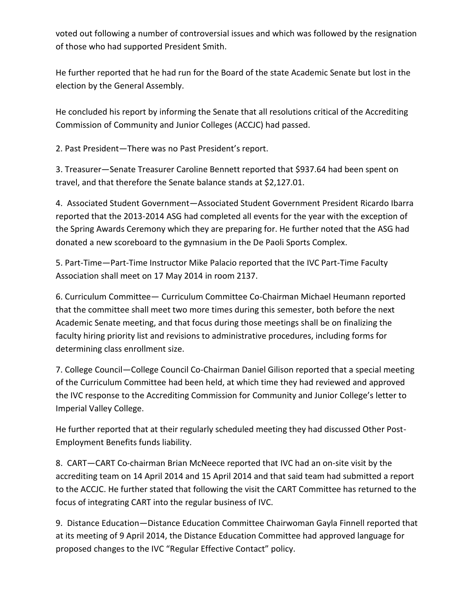voted out following a number of controversial issues and which was followed by the resignation of those who had supported President Smith.

He further reported that he had run for the Board of the state Academic Senate but lost in the election by the General Assembly.

He concluded his report by informing the Senate that all resolutions critical of the Accrediting Commission of Community and Junior Colleges (ACCJC) had passed.

2. Past President—There was no Past President's report.

3. Treasurer—Senate Treasurer Caroline Bennett reported that \$937.64 had been spent on travel, and that therefore the Senate balance stands at \$2,127.01.

4. Associated Student Government—Associated Student Government President Ricardo Ibarra reported that the 2013-2014 ASG had completed all events for the year with the exception of the Spring Awards Ceremony which they are preparing for. He further noted that the ASG had donated a new scoreboard to the gymnasium in the De Paoli Sports Complex.

5. Part-Time—Part-Time Instructor Mike Palacio reported that the IVC Part-Time Faculty Association shall meet on 17 May 2014 in room 2137.

6. Curriculum Committee— Curriculum Committee Co-Chairman Michael Heumann reported that the committee shall meet two more times during this semester, both before the next Academic Senate meeting, and that focus during those meetings shall be on finalizing the faculty hiring priority list and revisions to administrative procedures, including forms for determining class enrollment size.

7. College Council—College Council Co-Chairman Daniel Gilison reported that a special meeting of the Curriculum Committee had been held, at which time they had reviewed and approved the IVC response to the Accrediting Commission for Community and Junior College's letter to Imperial Valley College.

He further reported that at their regularly scheduled meeting they had discussed Other Post-Employment Benefits funds liability.

8. CART—CART Co-chairman Brian McNeece reported that IVC had an on-site visit by the accrediting team on 14 April 2014 and 15 April 2014 and that said team had submitted a report to the ACCJC. He further stated that following the visit the CART Committee has returned to the focus of integrating CART into the regular business of IVC.

9. Distance Education—Distance Education Committee Chairwoman Gayla Finnell reported that at its meeting of 9 April 2014, the Distance Education Committee had approved language for proposed changes to the IVC "Regular Effective Contact" policy.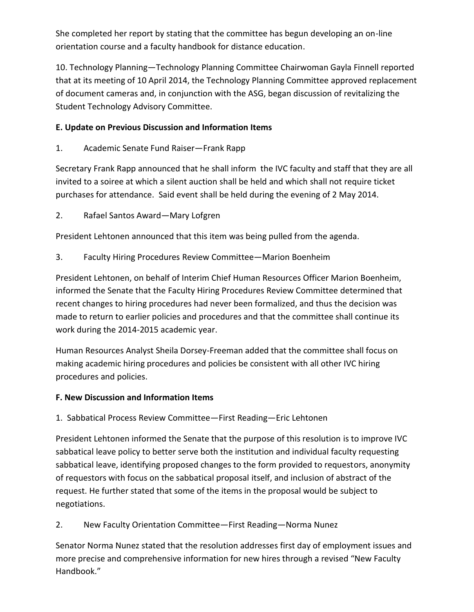She completed her report by stating that the committee has begun developing an on-line orientation course and a faculty handbook for distance education.

10. Technology Planning—Technology Planning Committee Chairwoman Gayla Finnell reported that at its meeting of 10 April 2014, the Technology Planning Committee approved replacement of document cameras and, in conjunction with the ASG, began discussion of revitalizing the Student Technology Advisory Committee.

### **E. Update on Previous Discussion and Information Items**

1. Academic Senate Fund Raiser—Frank Rapp

Secretary Frank Rapp announced that he shall inform the IVC faculty and staff that they are all invited to a soiree at which a silent auction shall be held and which shall not require ticket purchases for attendance. Said event shall be held during the evening of 2 May 2014.

2. Rafael Santos Award—Mary Lofgren

President Lehtonen announced that this item was being pulled from the agenda.

3. Faculty Hiring Procedures Review Committee—Marion Boenheim

President Lehtonen, on behalf of Interim Chief Human Resources Officer Marion Boenheim, informed the Senate that the Faculty Hiring Procedures Review Committee determined that recent changes to hiring procedures had never been formalized, and thus the decision was made to return to earlier policies and procedures and that the committee shall continue its work during the 2014-2015 academic year.

Human Resources Analyst Sheila Dorsey-Freeman added that the committee shall focus on making academic hiring procedures and policies be consistent with all other IVC hiring procedures and policies.

#### **F. New Discussion and Information Items**

1. Sabbatical Process Review Committee—First Reading—Eric Lehtonen

President Lehtonen informed the Senate that the purpose of this resolution is to improve IVC sabbatical leave policy to better serve both the institution and individual faculty requesting sabbatical leave, identifying proposed changes to the form provided to requestors, anonymity of requestors with focus on the sabbatical proposal itself, and inclusion of abstract of the request. He further stated that some of the items in the proposal would be subject to negotiations.

## 2. New Faculty Orientation Committee—First Reading—Norma Nunez

Senator Norma Nunez stated that the resolution addresses first day of employment issues and more precise and comprehensive information for new hires through a revised "New Faculty Handbook."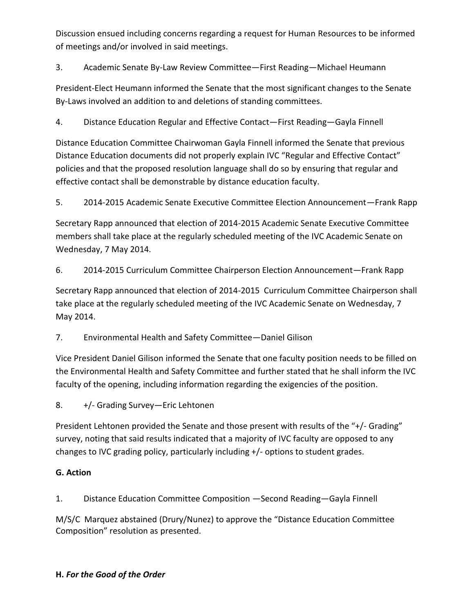Discussion ensued including concerns regarding a request for Human Resources to be informed of meetings and/or involved in said meetings.

3. Academic Senate By-Law Review Committee—First Reading—Michael Heumann

President-Elect Heumann informed the Senate that the most significant changes to the Senate By-Laws involved an addition to and deletions of standing committees.

4. Distance Education Regular and Effective Contact—First Reading—Gayla Finnell

Distance Education Committee Chairwoman Gayla Finnell informed the Senate that previous Distance Education documents did not properly explain IVC "Regular and Effective Contact" policies and that the proposed resolution language shall do so by ensuring that regular and effective contact shall be demonstrable by distance education faculty.

5. 2014-2015 Academic Senate Executive Committee Election Announcement—Frank Rapp

Secretary Rapp announced that election of 2014-2015 Academic Senate Executive Committee members shall take place at the regularly scheduled meeting of the IVC Academic Senate on Wednesday, 7 May 2014.

6. 2014-2015 Curriculum Committee Chairperson Election Announcement—Frank Rapp

Secretary Rapp announced that election of 2014-2015 Curriculum Committee Chairperson shall take place at the regularly scheduled meeting of the IVC Academic Senate on Wednesday, 7 May 2014.

7. Environmental Health and Safety Committee—Daniel Gilison

Vice President Daniel Gilison informed the Senate that one faculty position needs to be filled on the Environmental Health and Safety Committee and further stated that he shall inform the IVC faculty of the opening, including information regarding the exigencies of the position.

8. +/- Grading Survey—Eric Lehtonen

President Lehtonen provided the Senate and those present with results of the "+/- Grading" survey, noting that said results indicated that a majority of IVC faculty are opposed to any changes to IVC grading policy, particularly including +/- options to student grades.

#### **G. Action**

1. Distance Education Committee Composition —Second Reading—Gayla Finnell

M/S/C Marquez abstained (Drury/Nunez) to approve the "Distance Education Committee Composition" resolution as presented.